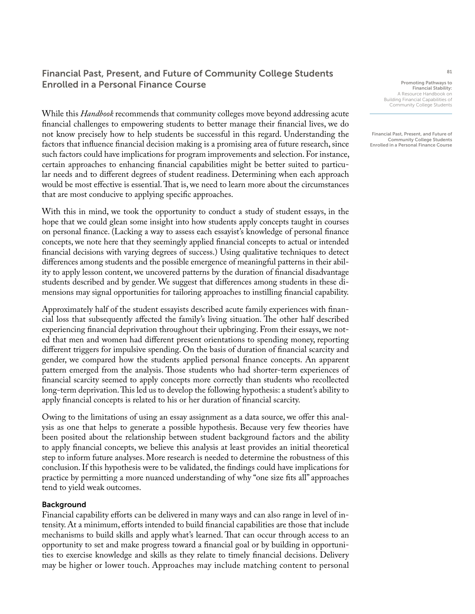# Financial Past, Present, and Future of Community College Students Enrolled in a Personal Finance Course

While this *Handbook* recommends that community colleges move beyond addressing acute financial challenges to empowering students to better manage their financial lives, we do not know precisely how to help students be successful in this regard. Understanding the factors that influence financial decision making is a promising area of future research, since such factors could have implications for program improvements and selection. For instance, certain approaches to enhancing financial capabilities might be better suited to particular needs and to different degrees of student readiness. Determining when each approach would be most effective is essential. That is, we need to learn more about the circumstances that are most conducive to applying specific approaches.

With this in mind, we took the opportunity to conduct a study of student essays, in the hope that we could glean some insight into how students apply concepts taught in courses on personal finance. (Lacking a way to assess each essayist's knowledge of personal finance concepts, we note here that they seemingly applied financial concepts to actual or intended financial decisions with varying degrees of success.) Using qualitative techniques to detect differences among students and the possible emergence of meaningful patterns in their ability to apply lesson content, we uncovered patterns by the duration of financial disadvantage students described and by gender. We suggest that differences among students in these dimensions may signal opportunities for tailoring approaches to instilling financial capability.

Approximately half of the student essayists described acute family experiences with financial loss that subsequently affected the family's living situation. The other half described experiencing financial deprivation throughout their upbringing. From their essays, we noted that men and women had different present orientations to spending money, reporting different triggers for impulsive spending. On the basis of duration of financial scarcity and gender, we compared how the students applied personal finance concepts. An apparent pattern emerged from the analysis. Those students who had shorter-term experiences of financial scarcity seemed to apply concepts more correctly than students who recollected long-term deprivation. This led us to develop the following hypothesis: a student's ability to apply financial concepts is related to his or her duration of financial scarcity.

Owing to the limitations of using an essay assignment as a data source, we offer this analysis as one that helps to generate a possible hypothesis. Because very few theories have been posited about the relationship between student background factors and the ability to apply financial concepts, we believe this analysis at least provides an initial theoretical step to inform future analyses. More research is needed to determine the robustness of this conclusion. If this hypothesis were to be validated, the findings could have implications for practice by permitting a more nuanced understanding of why "one size fits all" approaches tend to yield weak outcomes.

# Background

Financial capability efforts can be delivered in many ways and can also range in level of intensity. At a minimum, efforts intended to build financial capabilities are those that include mechanisms to build skills and apply what's learned. That can occur through access to an opportunity to set and make progress toward a financial goal or by building in opportunities to exercise knowledge and skills as they relate to timely financial decisions. Delivery may be higher or lower touch. Approaches may include matching content to personal

Promoting Pathways to Financial Stability: A Resource Handbook on Building Financial Capabilities of Community College Students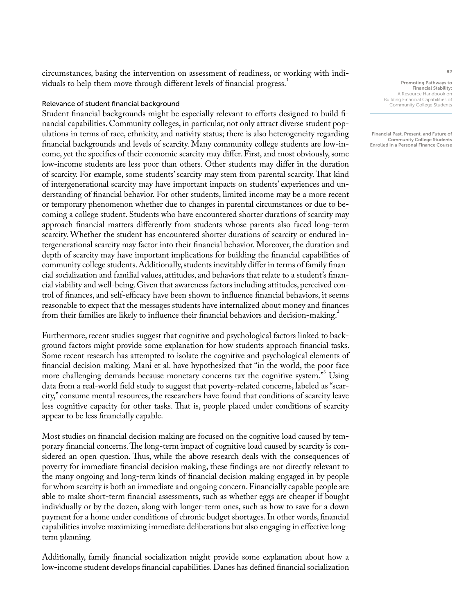circumstances, basing the intervention on assessment of readiness, or working with individuals to help them move through different levels of financial progress.<sup>1</sup>

#### Relevance of student financial background

Student financial backgrounds might be especially relevant to efforts designed to build financial capabilities. Community colleges, in particular, not only attract diverse student populations in terms of race, ethnicity, and nativity status; there is also heterogeneity regarding financial backgrounds and levels of scarcity. Many community college students are low-income, yet the specifics of their economic scarcity may differ. First, and most obviously, some low-income students are less poor than others. Other students may differ in the duration of scarcity. For example, some students' scarcity may stem from parental scarcity. That kind of intergenerational scarcity may have important impacts on students' experiences and understanding of financial behavior. For other students, limited income may be a more recent or temporary phenomenon whether due to changes in parental circumstances or due to becoming a college student. Students who have encountered shorter durations of scarcity may approach financial matters differently from students whose parents also faced long-term scarcity. Whether the student has encountered shorter durations of scarcity or endured intergenerational scarcity may factor into their financial behavior. Moreover, the duration and depth of scarcity may have important implications for building the financial capabilities of community college students. Additionally, students inevitably differ in terms of family financial socialization and familial values, attitudes, and behaviors that relate to a student's financial viability and well-being. Given that awareness factors including attitudes, perceived control of finances, and self-efficacy have been shown to influence financial behaviors, it seems reasonable to expect that the messages students have internalized about money and finances from their families are likely to influence their financial behaviors and decision-making.<sup>2</sup>

Furthermore, recent studies suggest that cognitive and psychological factors linked to background factors might provide some explanation for how students approach financial tasks. Some recent research has attempted to isolate the cognitive and psychological elements of financial decision making. Mani et al. have hypothesized that "in the world, the poor face more challenging demands because monetary concerns tax the cognitive system."<sup>3</sup> Using data from a real-world field study to suggest that poverty-related concerns, labeled as "scarcity," consume mental resources, the researchers have found that conditions of scarcity leave less cognitive capacity for other tasks. That is, people placed under conditions of scarcity appear to be less financially capable.

Most studies on financial decision making are focused on the cognitive load caused by temporary financial concerns. The long-term impact of cognitive load caused by scarcity is considered an open question. Thus, while the above research deals with the consequences of poverty for immediate financial decision making, these findings are not directly relevant to the many ongoing and long-term kinds of financial decision making engaged in by people for whom scarcity is both an immediate and ongoing concern. Financially capable people are able to make short-term financial assessments, such as whether eggs are cheaper if bought individually or by the dozen, along with longer-term ones, such as how to save for a down payment for a home under conditions of chronic budget shortages. In other words, financial capabilities involve maximizing immediate deliberations but also engaging in effective longterm planning.

Additionally, family financial socialization might provide some explanation about how a low-income student develops financial capabilities. Danes has defined financial socialization

Promoting Pathways to Financial Stability: A Resource Handbook on Building Financial Capabilities of Community College Students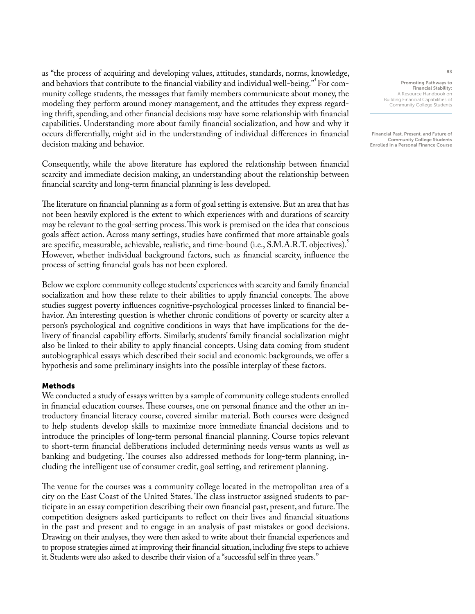as ''the process of acquiring and developing values, attitudes, standards, norms, knowledge, and behaviors that contribute to the financial viability and individual well-being." For community college students, the messages that family members communicate about money, the modeling they perform around money management, and the attitudes they express regarding thrift, spending, and other financial decisions may have some relationship with financial capabilities. Understanding more about family financial socialization, and how and why it occurs differentially, might aid in the understanding of individual differences in financial decision making and behavior.

Consequently, while the above literature has explored the relationship between financial scarcity and immediate decision making, an understanding about the relationship between financial scarcity and long-term financial planning is less developed.

The literature on financial planning as a form of goal setting is extensive. But an area that has not been heavily explored is the extent to which experiences with and durations of scarcity may be relevant to the goal-setting process. This work is premised on the idea that conscious goals affect action. Across many settings, studies have confirmed that more attainable goals are specific, measurable, achievable, realistic, and time-bound (i.e., S.M.A.R.T. objectives).<sup>5</sup> However, whether individual background factors, such as financial scarcity, influence the process of setting financial goals has not been explored.

Below we explore community college students' experiences with scarcity and family financial socialization and how these relate to their abilities to apply financial concepts. The above studies suggest poverty influences cognitive-psychological processes linked to financial behavior. An interesting question is whether chronic conditions of poverty or scarcity alter a person's psychological and cognitive conditions in ways that have implications for the delivery of financial capability efforts. Similarly, students' family financial socialization might also be linked to their ability to apply financial concepts. Using data coming from student autobiographical essays which described their social and economic backgrounds, we offer a hypothesis and some preliminary insights into the possible interplay of these factors.

# Methods

We conducted a study of essays written by a sample of community college students enrolled in financial education courses. These courses, one on personal finance and the other an introductory financial literacy course, covered similar material. Both courses were designed to help students develop skills to maximize more immediate financial decisions and to introduce the principles of long-term personal financial planning. Course topics relevant to short-term financial deliberations included determining needs versus wants as well as banking and budgeting. The courses also addressed methods for long-term planning, including the intelligent use of consumer credit, goal setting, and retirement planning.

The venue for the courses was a community college located in the metropolitan area of a city on the East Coast of the United States. The class instructor assigned students to participate in an essay competition describing their own financial past, present, and future. The competition designers asked participants to reflect on their lives and financial situations in the past and present and to engage in an analysis of past mistakes or good decisions. Drawing on their analyses, they were then asked to write about their financial experiences and to propose strategies aimed at improving their financial situation, including five steps to achieve it. Students were also asked to describe their vision of a "successful self in three years."

Promoting Pathways to Financial Stability: A Resource Handbook on Building Financial Capabilities of Community College Students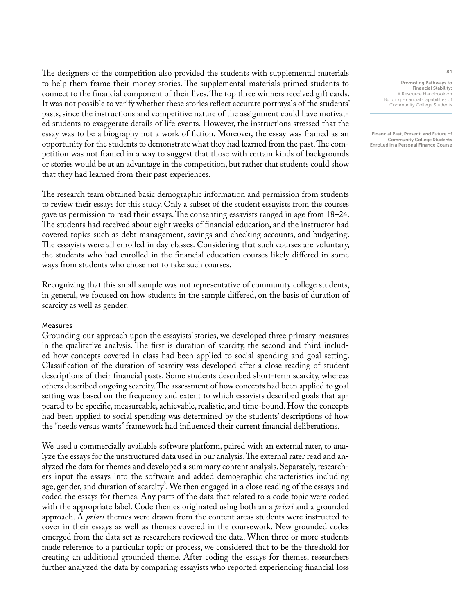The designers of the competition also provided the students with supplemental materials to help them frame their money stories. The supplemental materials primed students to connect to the financial component of their lives. The top three winners received gift cards. It was not possible to verify whether these stories reflect accurate portrayals of the students' pasts, since the instructions and competitive nature of the assignment could have motivated students to exaggerate details of life events. However, the instructions stressed that the essay was to be a biography not a work of fiction. Moreover, the essay was framed as an opportunity for the students to demonstrate what they had learned from the past. The competition was not framed in a way to suggest that those with certain kinds of backgrounds or stories would be at an advantage in the competition, but rather that students could show that they had learned from their past experiences.

The research team obtained basic demographic information and permission from students to review their essays for this study. Only a subset of the student essayists from the courses gave us permission to read their essays. The consenting essayists ranged in age from 18–24. The students had received about eight weeks of financial education, and the instructor had covered topics such as debt management, savings and checking accounts, and budgeting. The essayists were all enrolled in day classes. Considering that such courses are voluntary, the students who had enrolled in the financial education courses likely differed in some ways from students who chose not to take such courses.

Recognizing that this small sample was not representative of community college students, in general, we focused on how students in the sample differed, on the basis of duration of scarcity as well as gender.

# Measures

Grounding our approach upon the essayists' stories, we developed three primary measures in the qualitative analysis. The first is duration of scarcity, the second and third included how concepts covered in class had been applied to social spending and goal setting. Classification of the duration of scarcity was developed after a close reading of student descriptions of their financial pasts. Some students described short-term scarcity, whereas others described ongoing scarcity. The assessment of how concepts had been applied to goal setting was based on the frequency and extent to which essayists described goals that appeared to be specific, measureable, achievable, realistic, and time-bound. How the concepts had been applied to social spending was determined by the students' descriptions of how the "needs versus wants" framework had influenced their current financial deliberations.

We used a commercially available software platform, paired with an external rater, to analyze the essays for the unstructured data used in our analysis. The external rater read and analyzed the data for themes and developed a summary content analysis. Separately, researchers input the essays into the software and added demographic characteristics including age, gender, and duration of scarcity<sup>6</sup>. We then engaged in a close reading of the essays and coded the essays for themes. Any parts of the data that related to a code topic were coded with the appropriate label. Code themes originated using both an a *priori* and a grounded approach. A *priori* themes were drawn from the content areas students were instructed to cover in their essays as well as themes covered in the coursework. New grounded codes emerged from the data set as researchers reviewed the data. When three or more students made reference to a particular topic or process, we considered that to be the threshold for creating an additional grounded theme. After coding the essays for themes, researchers further analyzed the data by comparing essayists who reported experiencing financial loss

Promoting Pathways to Financial Stability: A Resource Handbook on Building Financial Capabilities of Community College Students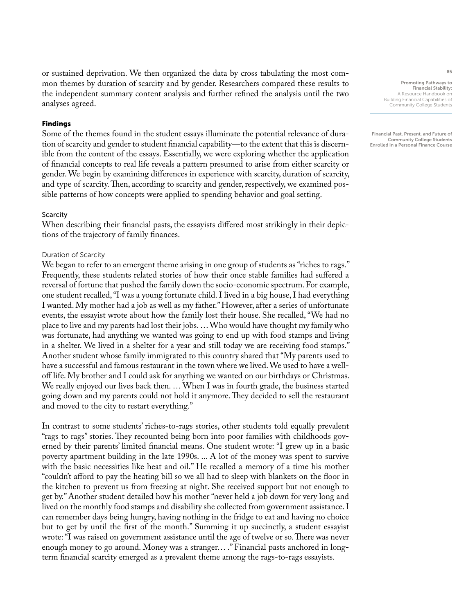or sustained deprivation. We then organized the data by cross tabulating the most common themes by duration of scarcity and by gender. Researchers compared these results to the independent summary content analysis and further refined the analysis until the two analyses agreed.

# Findings

Some of the themes found in the student essays illuminate the potential relevance of duration of scarcity and gender to student financial capability—to the extent that this is discernible from the content of the essays. Essentially, we were exploring whether the application of financial concepts to real life reveals a pattern presumed to arise from either scarcity or gender. We begin by examining differences in experience with scarcity, duration of scarcity, and type of scarcity. Then, according to scarcity and gender, respectively, we examined possible patterns of how concepts were applied to spending behavior and goal setting.

#### **Scarcity**

When describing their financial pasts, the essayists differed most strikingly in their depictions of the trajectory of family finances.

#### Duration of Scarcity

We began to refer to an emergent theme arising in one group of students as "riches to rags." Frequently, these students related stories of how their once stable families had suffered a reversal of fortune that pushed the family down the socio-economic spectrum. For example, one student recalled, "I was a young fortunate child. I lived in a big house, I had everything I wanted. My mother had a job as well as my father." However, after a series of unfortunate events, the essayist wrote about how the family lost their house. She recalled, "We had no place to live and my parents had lost their jobs. … Who would have thought my family who was fortunate, had anything we wanted was going to end up with food stamps and living in a shelter. We lived in a shelter for a year and still today we are receiving food stamps." Another student whose family immigrated to this country shared that "My parents used to have a successful and famous restaurant in the town where we lived. We used to have a welloff life. My brother and I could ask for anything we wanted on our birthdays or Christmas. We really enjoyed our lives back then. … When I was in fourth grade, the business started going down and my parents could not hold it anymore. They decided to sell the restaurant and moved to the city to restart everything."

In contrast to some students' riches-to-rags stories, other students told equally prevalent "rags to rags" stories. They recounted being born into poor families with childhoods governed by their parents' limited financial means. One student wrote: "I grew up in a basic poverty apartment building in the late 1990s. ... A lot of the money was spent to survive with the basic necessities like heat and oil." He recalled a memory of a time his mother "couldn't afford to pay the heating bill so we all had to sleep with blankets on the floor in the kitchen to prevent us from freezing at night. She received support but not enough to get by." Another student detailed how his mother "never held a job down for very long and lived on the monthly food stamps and disability she collected from government assistance. I can remember days being hungry, having nothing in the fridge to eat and having no choice but to get by until the first of the month." Summing it up succinctly, a student essayist wrote: "I was raised on government assistance until the age of twelve or so. There was never enough money to go around. Money was a stranger… ." Financial pasts anchored in longterm financial scarcity emerged as a prevalent theme among the rags-to-rags essayists.

Promoting Pathways to Financial Stability: A Resource Handbook on Building Financial Capabilities of Community College Students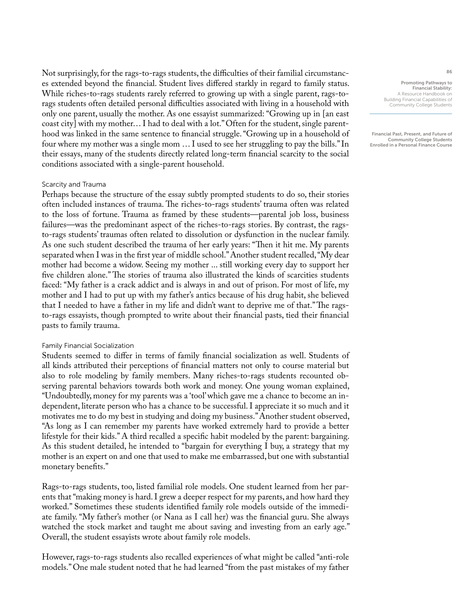Not surprisingly, for the rags-to-rags students, the difficulties of their familial circumstances extended beyond the financial. Student lives differed starkly in regard to family status. While riches-to-rags students rarely referred to growing up with a single parent, rags-torags students often detailed personal difficulties associated with living in a household with only one parent, usually the mother. As one essayist summarized: "Growing up in [an east coast city] with my mother… I had to deal with a lot." Often for the student, single parenthood was linked in the same sentence to financial struggle. "Growing up in a household of four where my mother was a single mom … I used to see her struggling to pay the bills." In their essays, many of the students directly related long-term financial scarcity to the social conditions associated with a single-parent household.

#### Scarcity and Trauma

Perhaps because the structure of the essay subtly prompted students to do so, their stories often included instances of trauma. The riches-to-rags students' trauma often was related to the loss of fortune. Trauma as framed by these students—parental job loss, business failures—was the predominant aspect of the riches-to-rags stories. By contrast, the ragsto-rags students' traumas often related to dissolution or dysfunction in the nuclear family. As one such student described the trauma of her early years: "Then it hit me. My parents separated when I was in the first year of middle school." Another student recalled, "My dear mother had become a widow. Seeing my mother ... still working every day to support her five children alone." The stories of trauma also illustrated the kinds of scarcities students faced: "My father is a crack addict and is always in and out of prison. For most of life, my mother and I had to put up with my father's antics because of his drug habit, she believed that I needed to have a father in my life and didn't want to deprive me of that." The ragsto-rags essayists, though prompted to write about their financial pasts, tied their financial pasts to family trauma.

#### Family Financial Socialization

Students seemed to differ in terms of family financial socialization as well. Students of all kinds attributed their perceptions of financial matters not only to course material but also to role modeling by family members. Many riches-to-rags students recounted observing parental behaviors towards both work and money. One young woman explained, "Undoubtedly, money for my parents was a 'tool' which gave me a chance to become an independent, literate person who has a chance to be successful. I appreciate it so much and it motivates me to do my best in studying and doing my business." Another student observed, "As long as I can remember my parents have worked extremely hard to provide a better lifestyle for their kids." A third recalled a specific habit modeled by the parent: bargaining. As this student detailed, he intended to "bargain for everything I buy, a strategy that my mother is an expert on and one that used to make me embarrassed, but one with substantial monetary benefits."

Rags-to-rags students, too, listed familial role models. One student learned from her parents that "making money is hard. I grew a deeper respect for my parents, and how hard they worked." Sometimes these students identified family role models outside of the immediate family. "My father's mother (or Nana as I call her) was the financial guru. She always watched the stock market and taught me about saving and investing from an early age." Overall, the student essayists wrote about family role models.

However, rags-to-rags students also recalled experiences of what might be called "anti-role models." One male student noted that he had learned "from the past mistakes of my father

Promoting Pathways to Financial Stability: A Resource Handbook on Building Financial Capabilities of Community College Students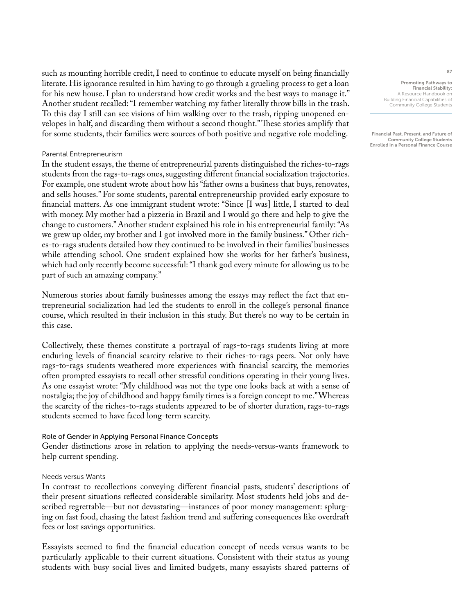such as mounting horrible credit, I need to continue to educate myself on being financially literate. His ignorance resulted in him having to go through a grueling process to get a loan for his new house. I plan to understand how credit works and the best ways to manage it." Another student recalled: "I remember watching my father literally throw bills in the trash. To this day I still can see visions of him walking over to the trash, ripping unopened envelopes in half, and discarding them without a second thought." These stories amplify that for some students, their families were sources of both positive and negative role modeling.

# Parental Entrepreneurism

In the student essays, the theme of entrepreneurial parents distinguished the riches-to-rags students from the rags-to-rags ones, suggesting different financial socialization trajectories. For example, one student wrote about how his "father owns a business that buys, renovates, and sells houses." For some students, parental entrepreneurship provided early exposure to financial matters. As one immigrant student wrote: "Since [I was] little, I started to deal with money. My mother had a pizzeria in Brazil and I would go there and help to give the change to customers." Another student explained his role in his entrepreneurial family: "As we grew up older, my brother and I got involved more in the family business." Other riches-to-rags students detailed how they continued to be involved in their families' businesses while attending school. One student explained how she works for her father's business, which had only recently become successful: "I thank god every minute for allowing us to be part of such an amazing company."

Numerous stories about family businesses among the essays may reflect the fact that entrepreneurial socialization had led the students to enroll in the college's personal finance course, which resulted in their inclusion in this study. But there's no way to be certain in this case.

Collectively, these themes constitute a portrayal of rags-to-rags students living at more enduring levels of financial scarcity relative to their riches-to-rags peers. Not only have rags-to-rags students weathered more experiences with financial scarcity, the memories often prompted essayists to recall other stressful conditions operating in their young lives. As one essayist wrote: "My childhood was not the type one looks back at with a sense of nostalgia; the joy of childhood and happy family times is a foreign concept to me." Whereas the scarcity of the riches-to-rags students appeared to be of shorter duration, rags-to-rags students seemed to have faced long-term scarcity.

#### Role of Gender in Applying Personal Finance Concepts

Gender distinctions arose in relation to applying the needs-versus-wants framework to help current spending.

#### Needs versus Wants

In contrast to recollections conveying different financial pasts, students' descriptions of their present situations reflected considerable similarity. Most students held jobs and described regrettable—but not devastating—instances of poor money management: splurging on fast food, chasing the latest fashion trend and suffering consequences like overdraft fees or lost savings opportunities.

Essayists seemed to find the financial education concept of needs versus wants to be particularly applicable to their current situations. Consistent with their status as young students with busy social lives and limited budgets, many essayists shared patterns of

Promoting Pathways to Financial Stability: A Resource Handbook or Building Financial Capabilities of Community College Students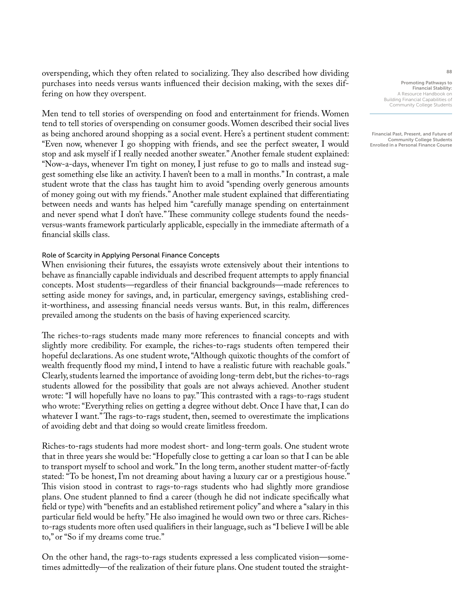overspending, which they often related to socializing. They also described how dividing purchases into needs versus wants influenced their decision making, with the sexes differing on how they overspent.

Men tend to tell stories of overspending on food and entertainment for friends. Women tend to tell stories of overspending on consumer goods. Women described their social lives as being anchored around shopping as a social event. Here's a pertinent student comment: "Even now, whenever I go shopping with friends, and see the perfect sweater, I would stop and ask myself if I really needed another sweater." Another female student explained: "Now-a-days, whenever I'm tight on money, I just refuse to go to malls and instead suggest something else like an activity. I haven't been to a mall in months." In contrast, a male student wrote that the class has taught him to avoid "spending overly generous amounts of money going out with my friends." Another male student explained that differentiating between needs and wants has helped him "carefully manage spending on entertainment and never spend what I don't have." These community college students found the needsversus-wants framework particularly applicable, especially in the immediate aftermath of a financial skills class.

#### Role of Scarcity in Applying Personal Finance Concepts

When envisioning their futures, the essayists wrote extensively about their intentions to behave as financially capable individuals and described frequent attempts to apply financial concepts. Most students—regardless of their financial backgrounds—made references to setting aside money for savings, and, in particular, emergency savings, establishing credit-worthiness, and assessing financial needs versus wants. But, in this realm, differences prevailed among the students on the basis of having experienced scarcity.

The riches-to-rags students made many more references to financial concepts and with slightly more credibility. For example, the riches-to-rags students often tempered their hopeful declarations. As one student wrote, "Although quixotic thoughts of the comfort of wealth frequently flood my mind, I intend to have a realistic future with reachable goals." Clearly, students learned the importance of avoiding long-term debt, but the riches-to-rags students allowed for the possibility that goals are not always achieved. Another student wrote: "I will hopefully have no loans to pay." This contrasted with a rags-to-rags student who wrote: "Everything relies on getting a degree without debt. Once I have that, I can do whatever I want." The rags-to-rags student, then, seemed to overestimate the implications of avoiding debt and that doing so would create limitless freedom.

Riches-to-rags students had more modest short- and long-term goals. One student wrote that in three years she would be: "Hopefully close to getting a car loan so that I can be able to transport myself to school and work." In the long term, another student matter-of-factly stated: "To be honest, I'm not dreaming about having a luxury car or a prestigious house." This vision stood in contrast to rags-to-rags students who had slightly more grandiose plans. One student planned to find a career (though he did not indicate specifically what field or type) with "benefits and an established retirement policy" and where a "salary in this particular field would be hefty." He also imagined he would own two or three cars. Richesto-rags students more often used qualifiers in their language, such as "I believe I will be able to," or "So if my dreams come true."

On the other hand, the rags-to-rags students expressed a less complicated vision—sometimes admittedly—of the realization of their future plans. One student touted the straight-

Promoting Pathways to Financial Stability: A Resource Handbook on Building Financial Capabilities of Community College Students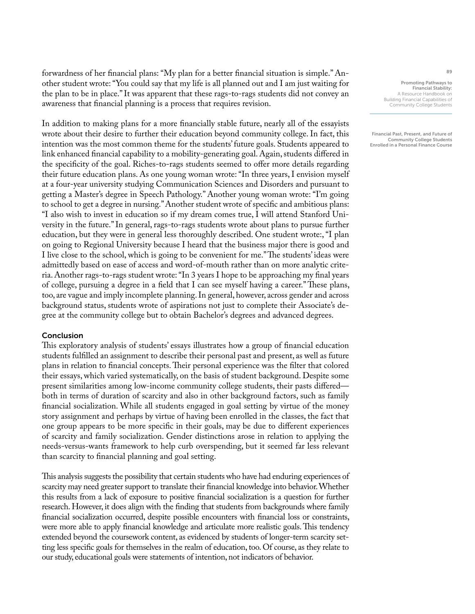forwardness of her financial plans: "My plan for a better financial situation is simple." Another student wrote: "You could say that my life is all planned out and I am just waiting for the plan to be in place." It was apparent that these rags-to-rags students did not convey an awareness that financial planning is a process that requires revision.

In addition to making plans for a more financially stable future, nearly all of the essayists wrote about their desire to further their education beyond community college. In fact, this intention was the most common theme for the students' future goals. Students appeared to link enhanced financial capability to a mobility-generating goal. Again, students differed in the specificity of the goal. Riches-to-rags students seemed to offer more details regarding their future education plans. As one young woman wrote: "In three years, I envision myself at a four-year university studying Communication Sciences and Disorders and pursuant to getting a Master's degree in Speech Pathology." Another young woman wrote: "I'm going to school to get a degree in nursing." Another student wrote of specific and ambitious plans: "I also wish to invest in education so if my dream comes true, I will attend Stanford University in the future." In general, rags-to-rags students wrote about plans to pursue further education, but they were in general less thoroughly described. One student wrote:, "I plan on going to Regional University because I heard that the business major there is good and I live close to the school, which is going to be convenient for me." The students' ideas were admittedly based on ease of access and word-of-mouth rather than on more analytic criteria. Another rags-to-rags student wrote: "In 3 years I hope to be approaching my final years of college, pursuing a degree in a field that I can see myself having a career." These plans, too, are vague and imply incomplete planning. In general, however, across gender and across background status, students wrote of aspirations not just to complete their Associate's degree at the community college but to obtain Bachelor's degrees and advanced degrees.

# Conclusion

This exploratory analysis of students' essays illustrates how a group of financial education students fulfilled an assignment to describe their personal past and present, as well as future plans in relation to financial concepts. Their personal experience was the filter that colored their essays, which varied systematically, on the basis of student background. Despite some present similarities among low-income community college students, their pasts differed both in terms of duration of scarcity and also in other background factors, such as family financial socialization. While all students engaged in goal setting by virtue of the money story assignment and perhaps by virtue of having been enrolled in the classes, the fact that one group appears to be more specific in their goals, may be due to different experiences of scarcity and family socialization. Gender distinctions arose in relation to applying the needs-versus-wants framework to help curb overspending, but it seemed far less relevant than scarcity to financial planning and goal setting.

This analysis suggests the possibility that certain students who have had enduring experiences of scarcity may need greater support to translate their financial knowledge into behavior. Whether this results from a lack of exposure to positive financial socialization is a question for further research. However, it does align with the finding that students from backgrounds where family financial socialization occurred, despite possible encounters with financial loss or constraints, were more able to apply financial knowledge and articulate more realistic goals. This tendency extended beyond the coursework content, as evidenced by students of longer-term scarcity setting less specific goals for themselves in the realm of education, too. Of course, as they relate to our study, educational goals were statements of intention, not indicators of behavior.

Promoting Pathways to Financial Stability: A Resource Handbook on Building Financial Capabilities of Community College Students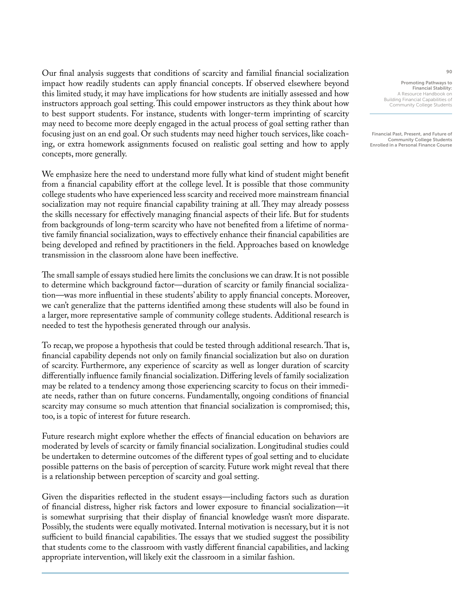Our final analysis suggests that conditions of scarcity and familial financial socialization impact how readily students can apply financial concepts. If observed elsewhere beyond this limited study, it may have implications for how students are initially assessed and how instructors approach goal setting. This could empower instructors as they think about how to best support students. For instance, students with longer-term imprinting of scarcity may need to become more deeply engaged in the actual process of goal setting rather than focusing just on an end goal. Or such students may need higher touch services, like coaching, or extra homework assignments focused on realistic goal setting and how to apply concepts, more generally.

We emphasize here the need to understand more fully what kind of student might benefit from a financial capability effort at the college level. It is possible that those community college students who have experienced less scarcity and received more mainstream financial socialization may not require financial capability training at all. They may already possess the skills necessary for effectively managing financial aspects of their life. But for students from backgrounds of long-term scarcity who have not benefited from a lifetime of normative family financial socialization, ways to effectively enhance their financial capabilities are being developed and refined by practitioners in the field. Approaches based on knowledge transmission in the classroom alone have been ineffective.

The small sample of essays studied here limits the conclusions we can draw. It is not possible to determine which background factor—duration of scarcity or family financial socialization—was more influential in these students' ability to apply financial concepts. Moreover, we can't generalize that the patterns identified among these students will also be found in a larger, more representative sample of community college students. Additional research is needed to test the hypothesis generated through our analysis.

To recap, we propose a hypothesis that could be tested through additional research. That is, financial capability depends not only on family financial socialization but also on duration of scarcity. Furthermore, any experience of scarcity as well as longer duration of scarcity differentially influence family financial socialization. Differing levels of family socialization may be related to a tendency among those experiencing scarcity to focus on their immediate needs, rather than on future concerns. Fundamentally, ongoing conditions of financial scarcity may consume so much attention that financial socialization is compromised; this, too, is a topic of interest for future research.

Future research might explore whether the effects of financial education on behaviors are moderated by levels of scarcity or family financial socialization. Longitudinal studies could be undertaken to determine outcomes of the different types of goal setting and to elucidate possible patterns on the basis of perception of scarcity. Future work might reveal that there is a relationship between perception of scarcity and goal setting.

Given the disparities reflected in the student essays—including factors such as duration of financial distress, higher risk factors and lower exposure to financial socialization—it is somewhat surprising that their display of financial knowledge wasn't more disparate. Possibly, the students were equally motivated. Internal motivation is necessary, but it is not sufficient to build financial capabilities. The essays that we studied suggest the possibility that students come to the classroom with vastly different financial capabilities, and lacking appropriate intervention, will likely exit the classroom in a similar fashion.

Promoting Pathways to Financial Stability: A Resource Handbook on Building Financial Capabilities of Community College Students